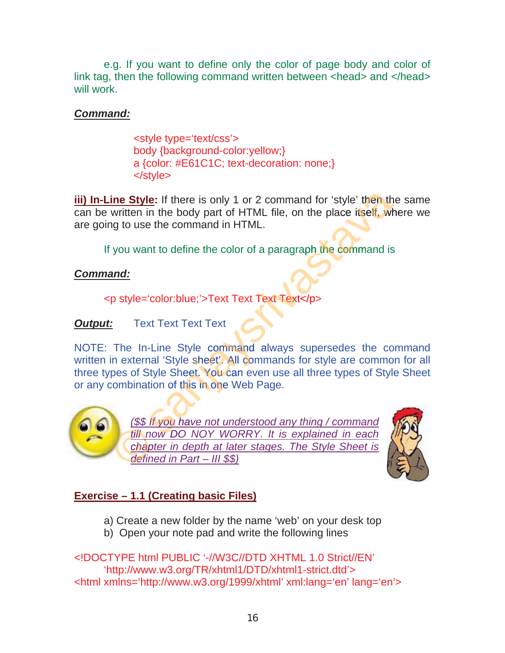e.g. If you want to define only the color of page body and color of link tag, then the following command written between <head> and </head> will work.

# **Command:**

<style type='text/css'> body {background-color:yellow;} a {color: #E61C1C; text-decoration: none;}  $\langle$ style $\rangle$ 

iii) In-Line Style: If there is only 1 or 2 command for 'style' then the same can be written in the body part of HTML file, on the place itself, where we are going to use the command in HTML.

If you want to define the color of a paragraph the command is

# **Command:**

<p style='color:blue;'>Text Text Text Text</p>

### **Text Text Text Text Output:**

NOTE: The In-Line Style command always supersedes the command written in external 'Style sheet'. All commands for style are common for all three types of Style Sheet. You can even use all three types of Style Sheet or any combination of this in one Web Page.



(\$\$ If you have not understood any thing / command till now DO NOY WORRY. It is explained in each chapter in depth at later stages. The Style Sheet is defined in Part  $-$  III \$\$)



# **Exercise – 1.1 (Creating basic Files)**

- a) Create a new folder by the name 'web' on your desk top
- b) Open your note pad and write the following lines

<!DOCTYPE html PUBLIC '-//W3C//DTD XHTML 1.0 Strict//FN' 'http://www.w3.org/TR/xhtml1/DTD/xhtml1-strict.dtd'> <html xmlns='http://www.w3.org/1999/xhtml' xml:lang='en' lang='en'>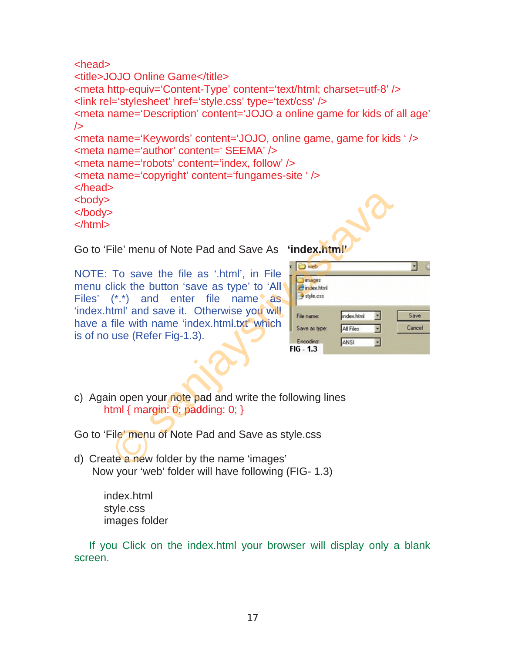```
<head>
<title>JOJO Online Game</title>
<meta http-equiv='Content-Type' content='text/html; charset=utf-8' /> 
<link rel='stylesheet' href='style.css' type='text/css' /> 
<meta name='Description' content='JOJO a online game for kids of all age' 
/<meta name='Keywords' content='JOJO, online game, game for kids ' /> 
<meta name='author' content=' SEEMA' /> 
<meta name='robots' content='index, follow' /> 
<meta name='copyright' content='fungames-site ' /> 
</head>
<body>
</body>
</html>
```
Go to 'File' menu of Note Pad and Save As **'index.html'**

NOTE: To save the file as '.html', in File menu click the button 'save as type' to 'All Files' (\*.\*) and enter file name as 'index.html' and save it. Otherwise you will have a file with name 'index.html.txt' which is of no use (Refer Fig-1.3).

| iu of Note Pad and Save As ' <b>index.html'</b>                                          |                                                       |                                 |        |                |
|------------------------------------------------------------------------------------------|-------------------------------------------------------|---------------------------------|--------|----------------|
| e the file as '.html', in File<br>button 'save as type' to 'All<br>nd enter file name as | e) web<br>images<br>index html<br>style.css           |                                 |        |                |
| I save it. Otherwise you will<br>name 'index.html.txt' which<br>efer Fig-1.3).           | File name:<br>Save as type:<br>Encoding:<br>FIG - 1.3 | index.html<br>All Files<br>ANSI | 뇌<br>뒥 | Save<br>Cancel |
| your note pad and write the following lines<br>$\mathsf{irgin: 0;}$ padding: 0; }        |                                                       |                                 |        |                |
| uu of Note Pad and Save as style css                                                     |                                                       |                                 |        |                |

c) Again open your note pad and write the following lines html  $\{$  margin: 0; padding: 0;  $\}$ 

Go to 'File' menu of Note Pad and Save as style.css e' menu of No

d) Create a new folder by the name 'images' Now your 'web' folder will have following (FIG- 1.3) File' menu d<br>ate a new for

> index.html style.css images folder

 If you Click on the index.html your browser will display only a blank screen.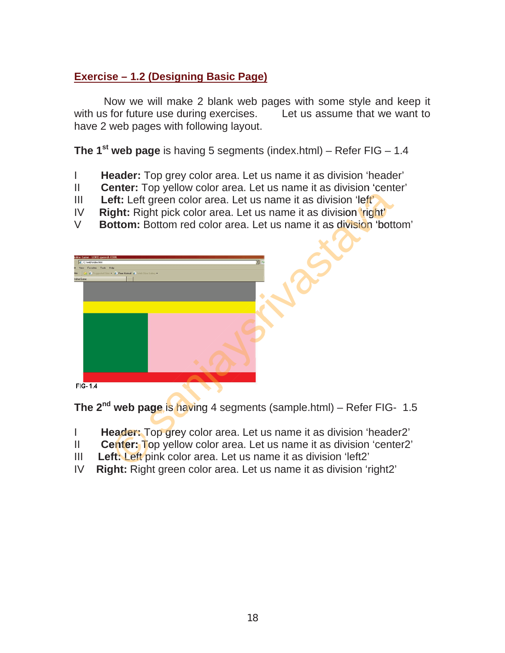# **Exercise – 1.2 (Designing Basic Page)**

Now we will make 2 blank web pages with some style and keep it with us for future use during exercises. Let us assume that we want to have 2 web pages with following layout.

**The 1<sup>st</sup> web page** is having 5 segments (index.html) – Refer FIG – 1.4

- I **Header:** Top grey color area. Let us name it as division 'header'
- II **Center:** Top yellow color area. Let us name it as division 'center'
- III **Left:** Left green color area. Let us name it as division 'left'
- IV **Right:** Right pick color area. Let us name it as division 'right'
- III Left: Left green color area. Let us name it as division 'left'<br>IV Right: Right pick color area. Let us name it as division 'right'<br>V Bottom: Bottom red color area. Let us name it as division 'bottom'



**The 2<sup>nd</sup> web page is having** 4 segments (sample.html) – Refer FIG- 1.5

- I Header: Top grey color area. Let us name it as division 'header2' I **Reader:** Top grey color area. Let us name it as division 'header<br>II **Center:** Top yellow color area. Let us name it as division 'cente<br>III **Left: Left** pink color area. Let us name it as division 'right2'<br>IV **Right:** Ri
- II Center: Top yellow color area. Let us name it as division 'center2'
- III **Left:** Left pink color area. Let us name it as division 'left2' t: Left p
- Right: Right green color area. Let us name it as division 'right2'